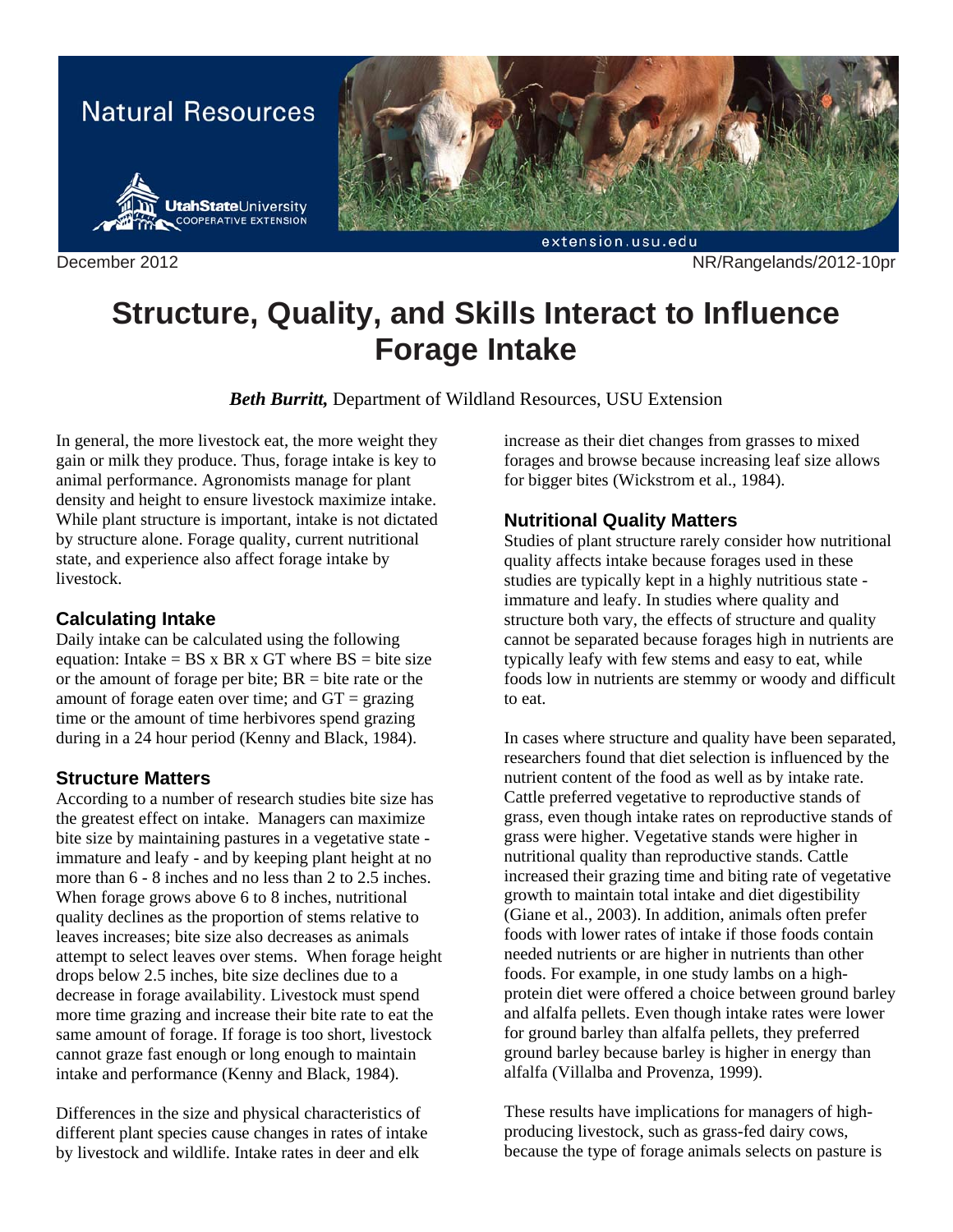

December 2012 NR/Rangelands/2012-10pr

# **Structure, Quality, and Skills Interact to Influence Forage Intake**

*Beth Burritt,* Department of Wildland Resources, USU Extension

In general, the more livestock eat, the more weight they gain or milk they produce. Thus, forage intake is key to animal performance. Agronomists manage for plant density and height to ensure livestock maximize intake. While plant structure is important, intake is not dictated by structure alone. Forage quality, current nutritional state, and experience also affect forage intake by livestock.

#### **Calculating Intake**

Daily intake can be calculated using the following equation: Intake =  $BS \times BR \times GT$  where  $BS = bite$  size or the amount of forage per bite;  $BR =$  bite rate or the amount of forage eaten over time; and  $GT = \frac{grazing}{g}$ time or the amount of time herbivores spend grazing during in a 24 hour period (Kenny and Black, 1984).

## **Structure Matters**

According to a number of research studies bite size has the greatest effect on intake. Managers can maximize bite size by maintaining pastures in a vegetative state immature and leafy - and by keeping plant height at no more than 6 - 8 inches and no less than 2 to 2.5 inches. When forage grows above 6 to 8 inches, nutritional quality declines as the proportion of stems relative to leaves increases; bite size also decreases as animals attempt to select leaves over stems. When forage height drops below 2.5 inches, bite size declines due to a decrease in forage availability. Livestock must spend more time grazing and increase their bite rate to eat the same amount of forage. If forage is too short, livestock cannot graze fast enough or long enough to maintain intake and performance (Kenny and Black, 1984).

Differences in the size and physical characteristics of different plant species cause changes in rates of intake by livestock and wildlife. Intake rates in deer and elk

increase as their diet changes from grasses to mixed forages and browse because increasing leaf size allows for bigger bites (Wickstrom et al., 1984).

### **Nutritional Quality Matters**

Studies of plant structure rarely consider how nutritional quality affects intake because forages used in these studies are typically kept in a highly nutritious state immature and leafy. In studies where quality and structure both vary, the effects of structure and quality cannot be separated because forages high in nutrients are typically leafy with few stems and easy to eat, while foods low in nutrients are stemmy or woody and difficult to eat.

In cases where structure and quality have been separated, researchers found that diet selection is influenced by the nutrient content of the food as well as by intake rate. Cattle preferred vegetative to reproductive stands of grass, even though intake rates on reproductive stands of grass were higher. Vegetative stands were higher in nutritional quality than reproductive stands. Cattle increased their grazing time and biting rate of vegetative growth to maintain total intake and diet digestibility (Giane et al., 2003). In addition, animals often prefer foods with lower rates of intake if those foods contain needed nutrients or are higher in nutrients than other foods. For example, in one study lambs on a highprotein diet were offered a choice between ground barley and alfalfa pellets. Even though intake rates were lower for ground barley than alfalfa pellets, they preferred ground barley because barley is higher in energy than alfalfa (Villalba and Provenza, 1999).

These results have implications for managers of highproducing livestock, such as grass-fed dairy cows, because the type of forage animals selects on pasture is